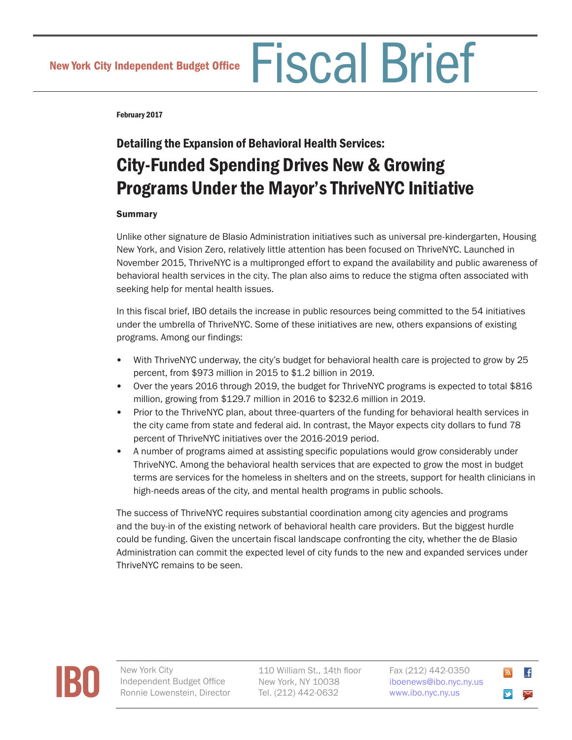February 2017

# Detailing the Expansion of Behavioral Health Services: City-Funded Spending Drives New & Growing Programs Under the Mayor's ThriveNYC Initiative

# **Summary**

Unlike other signature de Blasio Administration initiatives such as universal pre-kindergarten, Housing New York, and Vision Zero, relatively little attention has been focused on ThriveNYC. Launched in November 2015, ThriveNYC is a multipronged effort to expand the availability and public awareness of behavioral health services in the city. The plan also aims to reduce the stigma often associated with seeking help for mental health issues.

In this fiscal brief, IBO details the increase in public resources being committed to the 54 initiatives under the umbrella of ThriveNYC. Some of these initiatives are new, others expansions of existing programs. Among our findings:

- With ThriveNYC underway, the city's budget for behavioral health care is projected to grow by 25 percent, from \$973 million in 2015 to \$1.2 billion in 2019.
- Over the years 2016 through 2019, the budget for ThriveNYC programs is expected to total \$816 million, growing from \$129.7 million in 2016 to \$232.6 million in 2019.
- Prior to the ThriveNYC plan, about three-quarters of the funding for behavioral health services in the city came from state and federal aid. In contrast, the Mayor expects city dollars to fund 78 percent of ThriveNYC initiatives over the 2016-2019 period.
- A number of programs aimed at assisting specific populations would grow considerably under ThriveNYC. Among the behavioral health services that are expected to grow the most in budget terms are services for the homeless in shelters and on the streets, support for health clinicians in high-needs areas of the city, and mental health programs in public schools.

The success of ThriveNYC requires substantial coordination among city agencies and programs and the buy-in of the existing network of behavioral health care providers. But the biggest hurdle could be funding. Given the uncertain fiscal landscape confronting the city, whether the de Blasio Administration can commit the expected level of city funds to the new and expanded services under ThriveNYC remains to be seen.



Independent Budget Office Ronnie Lowenstein, Director 110 William St., 14th floor New York, NY 10038 Tel. (212) 442-0632

Fax (212) 442-0350 [iboenews@ibo.nyc.ny.us](mailto:iboenews%40ibo.nyc.ny.us?subject=)  <www.ibo.nyc.ny.us>

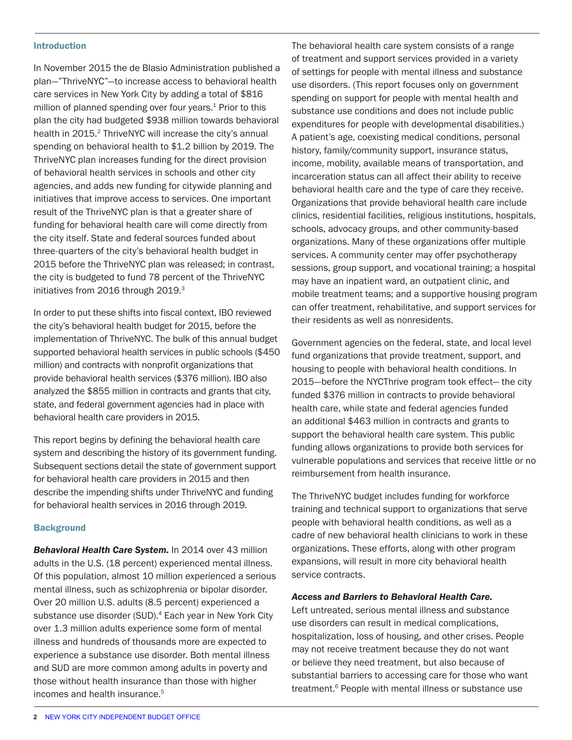#### Introduction

In November 2015 the de Blasio Administration published a plan—"ThriveNYC"—to increase access to behavioral health care services in New York City by adding a total of \$816 million of planned spending over four years. $1$  Prior to this plan the city had budgeted \$938 million towards behavioral health in 2015.<sup>2</sup> ThriveNYC will increase the city's annual spending on behavioral health to \$1.2 billion by 2019. The ThriveNYC plan increases funding for the direct provision of behavioral health services in schools and other city agencies, and adds new funding for citywide planning and initiatives that improve access to services. One important result of the ThriveNYC plan is that a greater share of funding for behavioral health care will come directly from the city itself. State and federal sources funded about three-quarters of the city's behavioral health budget in 2015 before the ThriveNYC plan was released; in contrast, the city is budgeted to fund 78 percent of the ThriveNYC initiatives from 2016 through 2019.<sup>3</sup>

In order to put these shifts into fiscal context, IBO reviewed the city's behavioral health budget for 2015, before the implementation of ThriveNYC. The bulk of this annual budget supported behavioral health services in public schools (\$450 million) and contracts with nonprofit organizations that provide behavioral health services (\$376 million). IBO also analyzed the \$855 million in contracts and grants that city, state, and federal government agencies had in place with behavioral health care providers in 2015.

This report begins by defining the behavioral health care system and describing the history of its government funding. Subsequent sections detail the state of government support for behavioral health care providers in 2015 and then describe the impending shifts under ThriveNYC and funding for behavioral health services in 2016 through 2019.

#### **Background**

*Behavioral Health Care System.* In 2014 over 43 million adults in the U.S. (18 percent) experienced mental illness. Of this population, almost 10 million experienced a serious mental illness, such as schizophrenia or bipolar disorder. Over 20 million U.S. adults (8.5 percent) experienced a substance use disorder (SUD).<sup>4</sup> Each year in New York City over 1.3 million adults experience some form of mental illness and hundreds of thousands more are expected to experience a substance use disorder. Both mental illness and SUD are more common among adults in poverty and those without health insurance than those with higher incomes and health insurance.5

The behavioral health care system consists of a range of treatment and support services provided in a variety of settings for people with mental illness and substance use disorders. (This report focuses only on government spending on support for people with mental health and substance use conditions and does not include public expenditures for people with developmental disabilities.) A patient's age, coexisting medical conditions, personal history, family/community support, insurance status, income, mobility, available means of transportation, and incarceration status can all affect their ability to receive behavioral health care and the type of care they receive. Organizations that provide behavioral health care include clinics, residential facilities, religious institutions, hospitals, schools, advocacy groups, and other community-based organizations. Many of these organizations offer multiple services. A community center may offer psychotherapy sessions, group support, and vocational training; a hospital may have an inpatient ward, an outpatient clinic, and mobile treatment teams; and a supportive housing program can offer treatment, rehabilitative, and support services for their residents as well as nonresidents.

Government agencies on the federal, state, and local level fund organizations that provide treatment, support, and housing to people with behavioral health conditions. In 2015—before the NYCThrive program took effect— the city funded \$376 million in contracts to provide behavioral health care, while state and federal agencies funded an additional \$463 million in contracts and grants to support the behavioral health care system. This public funding allows organizations to provide both services for vulnerable populations and services that receive little or no reimbursement from health insurance.

The ThriveNYC budget includes funding for workforce training and technical support to organizations that serve people with behavioral health conditions, as well as a cadre of new behavioral health clinicians to work in these organizations. These efforts, along with other program expansions, will result in more city behavioral health service contracts.

#### *Access and Barriers to Behavioral Health Care.*

Left untreated, serious mental illness and substance use disorders can result in medical complications, hospitalization, loss of housing, and other crises. People may not receive treatment because they do not want or believe they need treatment, but also because of substantial barriers to accessing care for those who want treatment.<sup>6</sup> People with mental illness or substance use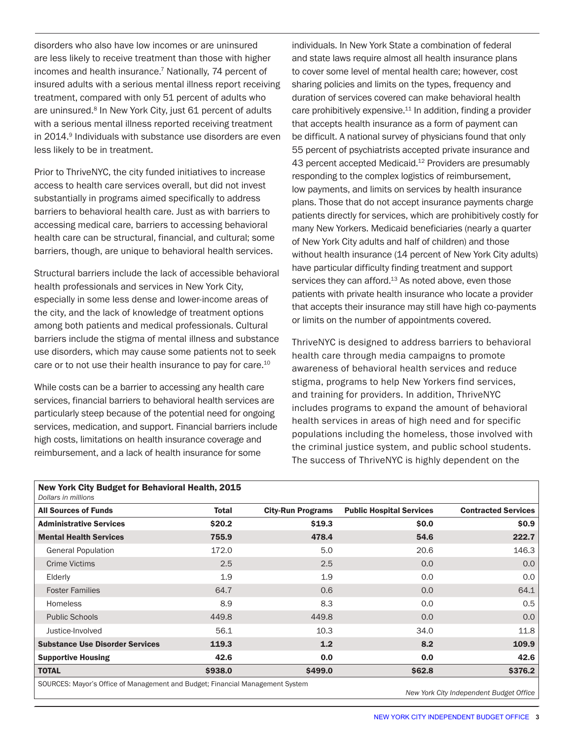<span id="page-2-0"></span>disorders who also have low incomes or are uninsured are less likely to receive treatment than those with higher incomes and health insurance.<sup>7</sup> Nationally, 74 percent of insured adults with a serious mental illness report receiving treatment, compared with only 51 percent of adults who are uninsured.<sup>8</sup> In New York City, just 61 percent of adults with a serious mental illness reported receiving treatment in 2014.<sup>9</sup> Individuals with substance use disorders are even less likely to be in treatment.

Prior to ThriveNYC, the city funded initiatives to increase access to health care services overall, but did not invest substantially in programs aimed specifically to address barriers to behavioral health care. Just as with barriers to accessing medical care, barriers to accessing behavioral health care can be structural, financial, and cultural; some barriers, though, are unique to behavioral health services.

Structural barriers include the lack of accessible behavioral health professionals and services in New York City, especially in some less dense and lower-income areas of the city, and the lack of knowledge of treatment options among both patients and medical professionals. Cultural barriers include the stigma of mental illness and substance use disorders, which may cause some patients not to seek care or to not use their health insurance to pay for care.<sup>10</sup>

While costs can be a barrier to accessing any health care services, financial barriers to behavioral health services are particularly steep because of the potential need for ongoing services, medication, and support. Financial barriers include high costs, limitations on health insurance coverage and reimbursement, and a lack of health insurance for some

individuals. In New York State a combination of federal and state laws require almost all health insurance plans to cover some level of mental health care; however, cost sharing policies and limits on the types, frequency and duration of services covered can make behavioral health care prohibitively expensive.11 In addition, finding a provider that accepts health insurance as a form of payment can be difficult. A national survey of physicians found that only 55 percent of psychiatrists accepted private insurance and 43 percent accepted Medicaid.<sup>12</sup> Providers are presumably responding to the complex logistics of reimbursement, low payments, and limits on services by health insurance plans. Those that do not accept insurance payments charge patients directly for services, which are prohibitively costly for many New Yorkers. Medicaid beneficiaries (nearly a quarter of New York City adults and half of children) and those without health insurance (14 percent of New York City adults) have particular difficulty finding treatment and support services they can afford. $13$  As noted above, even those patients with private health insurance who locate a provider that accepts their insurance may still have high co-payments or limits on the number of appointments covered.

ThriveNYC is designed to address barriers to behavioral health care through media campaigns to promote awareness of behavioral health services and reduce stigma, programs to help New Yorkers find services, and training for providers. In addition, ThriveNYC includes programs to expand the amount of behavioral health services in areas of high need and for specific populations including the homeless, those involved with the criminal justice system, and public school students. The success of ThriveNYC is highly dependent on the

| New York City Budget for Behavioral Health, 2015<br>Dollars in millions |         |                          |                                 |                            |
|-------------------------------------------------------------------------|---------|--------------------------|---------------------------------|----------------------------|
| <b>All Sources of Funds</b>                                             | Total   | <b>City-Run Programs</b> | <b>Public Hospital Services</b> | <b>Contracted Services</b> |
| <b>Administrative Services</b>                                          | \$20.2  | \$19.3                   | \$0.0\$                         | \$0.9                      |
| <b>Mental Health Services</b>                                           | 755.9   | 478.4                    | 54.6                            | 222.7                      |
| <b>General Population</b>                                               | 172.0   | 5.0                      | 20.6                            | 146.3                      |
| <b>Crime Victims</b>                                                    | 2.5     | 2.5                      | 0.0                             | 0.0 <sub>1</sub>           |
| Elderly                                                                 | 1.9     | 1.9                      | 0.0                             | 0.0                        |
| <b>Foster Families</b>                                                  | 64.7    | 0.6                      | 0.0                             | 64.1                       |
| <b>Homeless</b>                                                         | 8.9     | 8.3                      | 0.0                             | 0.5                        |
| <b>Public Schools</b>                                                   | 449.8   | 449.8                    | 0.0                             | 0.0 <sub>1</sub>           |
| Justice-Involved                                                        | 56.1    | 10.3                     | 34.0                            | 11.8                       |
| <b>Substance Use Disorder Services</b>                                  | 119.3   | 1.2                      | 8.2                             | 109.9                      |
| <b>Supportive Housing</b>                                               | 42.6    | 0.0                      | 0.0                             | 42.6                       |
| <b>TOTAL</b>                                                            | \$938.0 | \$499.0                  | \$62.8                          | \$376.2                    |

SOURCES: Mayor's Office of Management and Budget; Financial Management System

*New York City Independent Budget Office*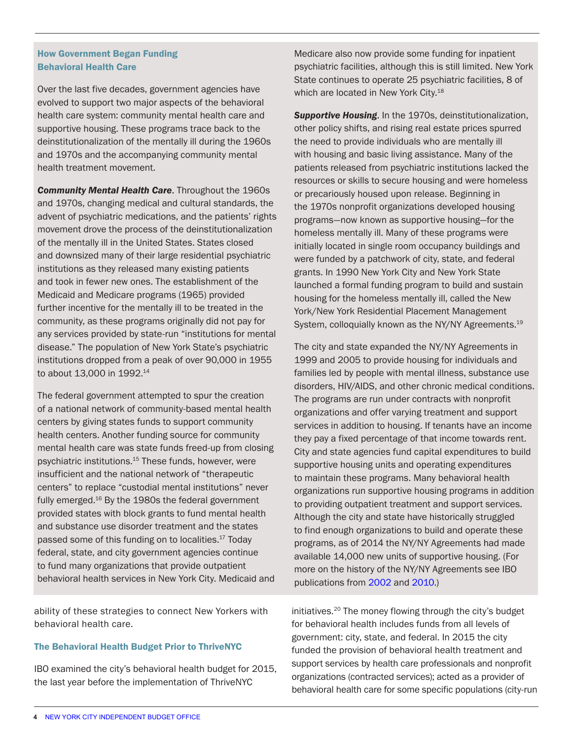# How Government Began Funding Behavioral Health Care

Over the last five decades, government agencies have evolved to support two major aspects of the behavioral health care system: community mental health care and supportive housing. These programs trace back to the deinstitutionalization of the mentally ill during the 1960s and 1970s and the accompanying community mental health treatment movement.

*Community Mental Health Care*. Throughout the 1960s and 1970s, changing medical and cultural standards, the advent of psychiatric medications, and the patients' rights movement drove the process of the deinstitutionalization of the mentally ill in the United States. States closed and downsized many of their large residential psychiatric institutions as they released many existing patients and took in fewer new ones. The establishment of the Medicaid and Medicare programs (1965) provided further incentive for the mentally ill to be treated in the community, as these programs originally did not pay for any services provided by state-run "institutions for mental disease." The population of New York State's psychiatric institutions dropped from a peak of over 90,000 in 1955 to about 13,000 in 1992.14

The federal government attempted to spur the creation of a national network of community-based mental health centers by giving states funds to support community health centers. Another funding source for community mental health care was state funds freed-up from closing psychiatric institutions.<sup>15</sup> These funds, however, were insufficient and the national network of "therapeutic centers" to replace "custodial mental institutions" never fully emerged.<sup>16</sup> By the 1980s the federal government provided states with block grants to fund mental health and substance use disorder treatment and the states passed some of this funding on to localities.<sup>17</sup> Today federal, state, and city government agencies continue to fund many organizations that provide outpatient behavioral health services in New York City. Medicaid and

ability of these strategies to connect New Yorkers with behavioral health care.

#### The Behavioral Health Budget Prior to ThriveNYC

IBO examined the city's behavioral health budget for 2015, the last year before the implementation of ThriveNYC

Medicare also now provide some funding for inpatient psychiatric facilities, although this is still limited. New York State continues to operate 25 psychiatric facilities, 8 of which are located in New York City.<sup>18</sup>

*Supportive Housing*. In the 1970s, deinstitutionalization, other policy shifts, and rising real estate prices spurred the need to provide individuals who are mentally ill with housing and basic living assistance. Many of the patients released from psychiatric institutions lacked the resources or skills to secure housing and were homeless or precariously housed upon release. Beginning in the 1970s nonprofit organizations developed housing programs—now known as supportive housing—for the homeless mentally ill. Many of these programs were initially located in single room occupancy buildings and were funded by a patchwork of city, state, and federal grants. In 1990 New York City and New York State launched a formal funding program to build and sustain housing for the homeless mentally ill, called the New York/New York Residential Placement Management System, colloquially known as the NY/NY Agreements.<sup>19</sup>

The city and state expanded the NY/NY Agreements in 1999 and 2005 to provide housing for individuals and families led by people with mental illness, substance use disorders, HIV/AIDS, and other chronic medical conditions. The programs are run under contracts with nonprofit organizations and offer varying treatment and support services in addition to housing. If tenants have an income they pay a fixed percentage of that income towards rent. City and state agencies fund capital expenditures to build supportive housing units and operating expenditures to maintain these programs. Many behavioral health organizations run supportive housing programs in addition to providing outpatient treatment and support services. Although the city and state have historically struggled to find enough organizations to build and operate these programs, as of 2014 the NY/NY Agreements had made available 14,000 new units of supportive housing. (For more on the history of the NY/NY Agreements see IBO publications from [2002](http://www.ibo.nyc.ny.us/newsfax/insidethebudget109.pdf) and [2010.](http://www.ibo.nyc.ny.us/iboreports/nyny3feb92010.pdf))

initiatives.20 The money flowing through the city's budget for behavioral health includes funds from all levels of government: city, state, and federal. In 2015 the city funded the provision of behavioral health treatment and support services by health care professionals and nonprofit organizations (contracted services); acted as a provider of behavioral health care for some specific populations (city-run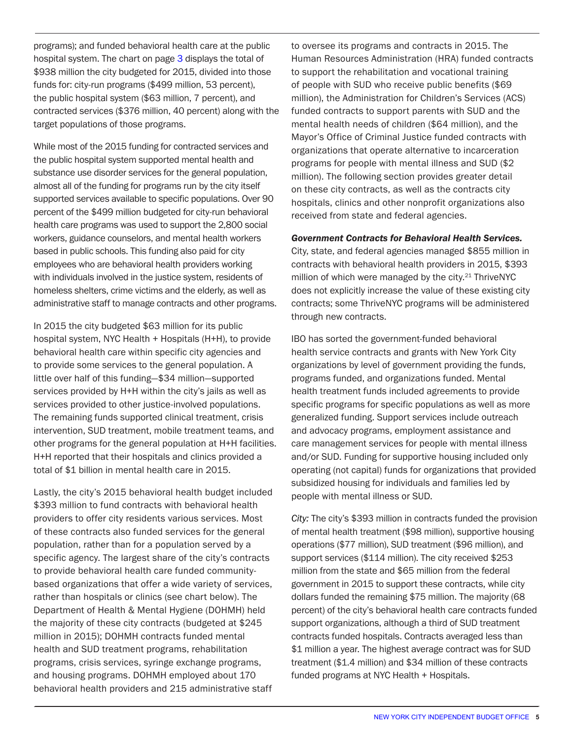programs); and funded behavioral health care at the public hospital system. The chart on page [3](#page-2-0) displays the total of \$938 million the city budgeted for 2015, divided into those funds for: city-run programs (\$499 million, 53 percent), the public hospital system (\$63 million, 7 percent), and contracted services (\$376 million, 40 percent) along with the target populations of those programs.

While most of the 2015 funding for contracted services and the public hospital system supported mental health and substance use disorder services for the general population, almost all of the funding for programs run by the city itself supported services available to specific populations. Over 90 percent of the \$499 million budgeted for city-run behavioral health care programs was used to support the 2,800 social workers, guidance counselors, and mental health workers based in public schools. This funding also paid for city employees who are behavioral health providers working with individuals involved in the justice system, residents of homeless shelters, crime victims and the elderly, as well as administrative staff to manage contracts and other programs.

In 2015 the city budgeted \$63 million for its public hospital system, NYC Health + Hospitals (H+H), to provide behavioral health care within specific city agencies and to provide some services to the general population. A little over half of this funding—\$34 million—supported services provided by H+H within the city's jails as well as services provided to other justice-involved populations. The remaining funds supported clinical treatment, crisis intervention, SUD treatment, mobile treatment teams, and other programs for the general population at H+H facilities. H+H reported that their hospitals and clinics provided a total of \$1 billion in mental health care in 2015.

Lastly, the city's 2015 behavioral health budget included \$393 million to fund contracts with behavioral health providers to offer city residents various services. Most of these contracts also funded services for the general population, rather than for a population served by a specific agency. The largest share of the city's contracts to provide behavioral health care funded communitybased organizations that offer a wide variety of services, rather than hospitals or clinics (see chart below). The Department of Health & Mental Hygiene (DOHMH) held the majority of these city contracts (budgeted at \$245 million in 2015); DOHMH contracts funded mental health and SUD treatment programs, rehabilitation programs, crisis services, syringe exchange programs, and housing programs. DOHMH employed about 170 behavioral health providers and 215 administrative staff

to oversee its programs and contracts in 2015. The Human Resources Administration (HRA) funded contracts to support the rehabilitation and vocational training of people with SUD who receive public benefits (\$69 million), the Administration for Children's Services (ACS) funded contracts to support parents with SUD and the mental health needs of children (\$64 million), and the Mayor's Office of Criminal Justice funded contracts with organizations that operate alternative to incarceration programs for people with mental illness and SUD (\$2 million). The following section provides greater detail on these city contracts, as well as the contracts city hospitals, clinics and other nonprofit organizations also received from state and federal agencies.

#### *Government Contracts for Behavioral Health Services.*

City, state, and federal agencies managed \$855 million in contracts with behavioral health providers in 2015, \$393 million of which were managed by the city.<sup>21</sup> ThriveNYC does not explicitly increase the value of these existing city contracts; some ThriveNYC programs will be administered through new contracts.

IBO has sorted the government-funded behavioral health service contracts and grants with New York City organizations by level of government providing the funds, programs funded, and organizations funded. Mental health treatment funds included agreements to provide specific programs for specific populations as well as more generalized funding. Support services include outreach and advocacy programs, employment assistance and care management services for people with mental illness and/or SUD. Funding for supportive housing included only operating (not capital) funds for organizations that provided subsidized housing for individuals and families led by people with mental illness or SUD.

*City:* The city's \$393 million in contracts funded the provision of mental health treatment (\$98 million), supportive housing operations (\$77 million), SUD treatment (\$96 million), and support services (\$114 million). The city received \$253 million from the state and \$65 million from the federal government in 2015 to support these contracts, while city dollars funded the remaining \$75 million. The majority (68 percent) of the city's behavioral health care contracts funded support organizations, although a third of SUD treatment contracts funded hospitals. Contracts averaged less than \$1 million a year. The highest average contract was for SUD treatment (\$1.4 million) and \$34 million of these contracts funded programs at NYC Health + Hospitals.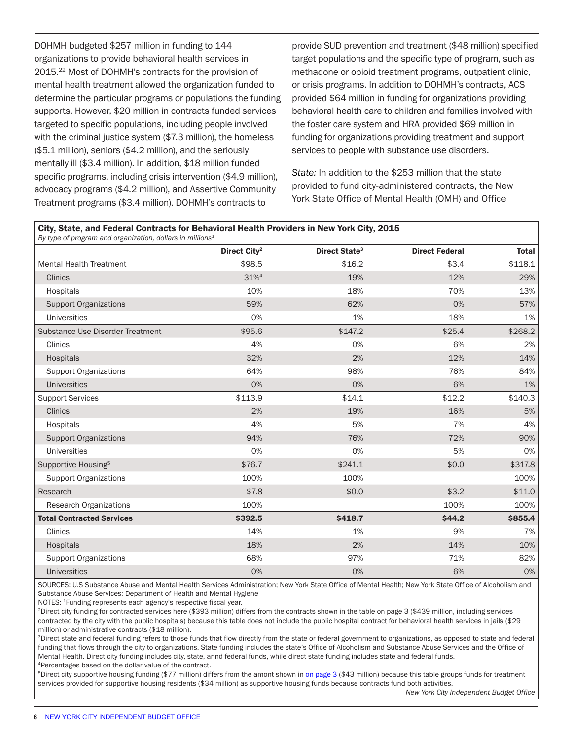DOHMH budgeted \$257 million in funding to 144 organizations to provide behavioral health services in 2015.22 Most of DOHMH's contracts for the provision of mental health treatment allowed the organization funded to determine the particular programs or populations the funding supports. However, \$20 million in contracts funded services targeted to specific populations, including people involved with the criminal justice system (\$7.3 million), the homeless (\$5.1 million), seniors (\$4.2 million), and the seriously mentally ill (\$3.4 million). In addition, \$18 million funded specific programs, including crisis intervention (\$4.9 million), advocacy programs (\$4.2 million), and Assertive Community Treatment programs (\$3.4 million). DOHMH's contracts to

provide SUD prevention and treatment (\$48 million) specified target populations and the specific type of program, such as methadone or opioid treatment programs, outpatient clinic, or crisis programs. In addition to DOHMH's contracts, ACS provided \$64 million in funding for organizations providing behavioral health care to children and families involved with the foster care system and HRA provided \$69 million in funding for organizations providing treatment and support services to people with substance use disorders.

*State:* In addition to the \$253 million that the state provided to fund city-administered contracts, the New York State Office of Mental Health (OMH) and Office

|                                  | Direct City <sup>2</sup> | Direct State <sup>3</sup> | <b>Direct Federal</b> | Total<br>\$118.1 |
|----------------------------------|--------------------------|---------------------------|-----------------------|------------------|
| <b>Mental Health Treatment</b>   | \$98.5                   | \$16.2                    | \$3.4                 |                  |
| <b>Clinics</b>                   | 31% <sup>4</sup>         | 19%<br>12%                |                       | 29%              |
| Hospitals                        | 10%                      | 18%                       | 70%                   | 13%              |
| <b>Support Organizations</b>     | 59%                      | 62%                       | 0%                    | 57%              |
| <b>Universities</b>              | 0%                       | 1%                        | 18%                   | 1%               |
| Substance Use Disorder Treatment | \$95.6                   | \$147.2                   | \$25.4                | \$268.2          |
| Clinics                          | 4%                       | 0%                        | 6%                    | 2%               |
| <b>Hospitals</b>                 | 32%                      | 2%                        | 12%                   | 14%              |
| <b>Support Organizations</b>     | 64%                      | 98%                       | 76%                   | 84%              |
| <b>Universities</b>              | 0%                       | 0%                        | 6%                    | 1%               |
| <b>Support Services</b>          | \$113.9                  | \$14.1                    | \$12.2                | \$140.3          |
| <b>Clinics</b>                   | 2%                       | 19%                       | 16%                   | 5%               |
| Hospitals                        | 4%                       | 5%                        | 7%                    | 4%               |
| <b>Support Organizations</b>     | 94%                      | 76%                       | 72%                   | 90%              |
| <b>Universities</b>              | 0%                       | 0%                        | 5%                    | 0%               |
| Supportive Housing <sup>5</sup>  | \$76.7                   | \$241.1                   | \$0.0                 | \$317.8          |
| <b>Support Organizations</b>     | 100%                     | 100%                      |                       | 100%             |
| Research                         | \$7.8                    | \$0.0                     | \$3.2                 | \$11.0           |
| <b>Research Organizations</b>    | 100%                     |                           | 100%                  | 100%             |
| <b>Total Contracted Services</b> | \$392.5                  | \$418.7                   | \$44.2                | \$855.4          |
| Clinics                          | 14%                      | 1%                        | 9%                    | 7%               |
| <b>Hospitals</b>                 | 18%                      | 2%                        | 14%                   | 10%              |
| <b>Support Organizations</b>     | 68%                      | 97%                       | 71%                   | 82%              |
| <b>Universities</b>              | 0%                       | 0%                        | 6%                    | 0%               |

SOURCES: U.S Substance Abuse and Mental Health Services Administration; New York State Office of Mental Health; New York State Office of Alcoholism and Substance Abuse Services; Department of Health and Mental Hygiene

NOTES: 1Funding represents each agency's respective fiscal year.

2Direct city funding for contracted services here (\$393 million) differs from the contracts shown in the table on page 3 (\$439 million, including services contracted by the city with the public hospitals) because this table does not include the public hospital contract for behavioral health services in jails (\$29 million) or administrative contracts (\$18 million).

<sup>3</sup>Direct state and federal funding refers to those funds that flow directly from the state or federal government to organizations, as opposed to state and federal funding that flows through the city to organizations. State funding includes the state's Office of Alcoholism and Substance Abuse Services and the Office of Mental Health. Direct city funding includes city, state, annd federal funds, while direct state funding includes state and federal funds. 4Percentages based on the dollar value of the contract.

5Direct city supportive housing funding (\$77 million) differs from the amont shown in [on page 3](#page-2-0) (\$43 million) because this table groups funds for treatment services provided for supportive housing residents (\$34 million) as supportive housing funds because contracts fund both activities.

*New York City Independent Budget Office*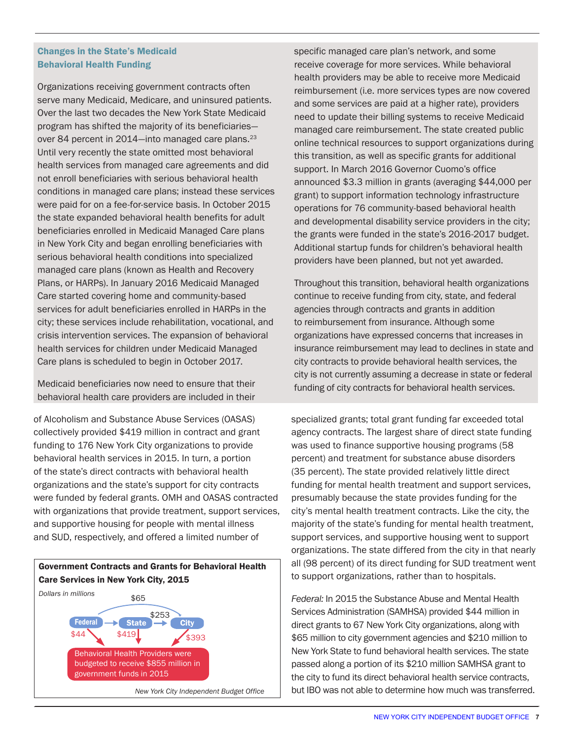# Changes in the State's Medicaid Behavioral Health Funding

Organizations receiving government contracts often serve many Medicaid, Medicare, and uninsured patients. Over the last two decades the New York State Medicaid program has shifted the majority of its beneficiaries over 84 percent in 2014—into managed care plans.<sup>23</sup> Until very recently the state omitted most behavioral health services from managed care agreements and did not enroll beneficiaries with serious behavioral health conditions in managed care plans; instead these services were paid for on a fee-for-service basis. In October 2015 the state expanded behavioral health benefits for adult beneficiaries enrolled in Medicaid Managed Care plans in New York City and began enrolling beneficiaries with serious behavioral health conditions into specialized managed care plans (known as Health and Recovery Plans, or HARPs). In January 2016 Medicaid Managed Care started covering home and community-based services for adult beneficiaries enrolled in HARPs in the city; these services include rehabilitation, vocational, and crisis intervention services. The expansion of behavioral health services for children under Medicaid Managed Care plans is scheduled to begin in October 2017.

Medicaid beneficiaries now need to ensure that their behavioral health care providers are included in their

of Alcoholism and Substance Abuse Services (OASAS) collectively provided \$419 million in contract and grant funding to 176 New York City organizations to provide behavioral health services in 2015. In turn, a portion of the state's direct contracts with behavioral health organizations and the state's support for city contracts were funded by federal grants. OMH and OASAS contracted with organizations that provide treatment, support services, and supportive housing for people with mental illness and SUD, respectively, and offered a limited number of



specific managed care plan's network, and some receive coverage for more services. While behavioral health providers may be able to receive more Medicaid reimbursement (i.e. more services types are now covered and some services are paid at a higher rate), providers need to update their billing systems to receive Medicaid managed care reimbursement. The state created public online technical resources to support organizations during this transition, as well as specific grants for additional support. In March 2016 Governor Cuomo's office announced \$3.3 million in grants (averaging \$44,000 per grant) to support information technology infrastructure operations for 76 community-based behavioral health and developmental disability service providers in the city; the grants were funded in the state's 2016-2017 budget. Additional startup funds for children's behavioral health providers have been planned, but not yet awarded.

Throughout this transition, behavioral health organizations continue to receive funding from city, state, and federal agencies through contracts and grants in addition to reimbursement from insurance. Although some organizations have expressed concerns that increases in insurance reimbursement may lead to declines in state and city contracts to provide behavioral health services, the city is not currently assuming a decrease in state or federal funding of city contracts for behavioral health services.

specialized grants; total grant funding far exceeded total agency contracts. The largest share of direct state funding was used to finance supportive housing programs (58 percent) and treatment for substance abuse disorders (35 percent). The state provided relatively little direct funding for mental health treatment and support services, presumably because the state provides funding for the city's mental health treatment contracts. Like the city, the majority of the state's funding for mental health treatment, support services, and supportive housing went to support organizations. The state differed from the city in that nearly all (98 percent) of its direct funding for SUD treatment went to support organizations, rather than to hospitals.

*Federal:* In 2015 the Substance Abuse and Mental Health Services Administration (SAMHSA) provided \$44 million in direct grants to 67 New York City organizations, along with \$65 million to city government agencies and \$210 million to New York State to fund behavioral health services. The state passed along a portion of its \$210 million SAMHSA grant to the city to fund its direct behavioral health service contracts, but IBO was not able to determine how much was transferred.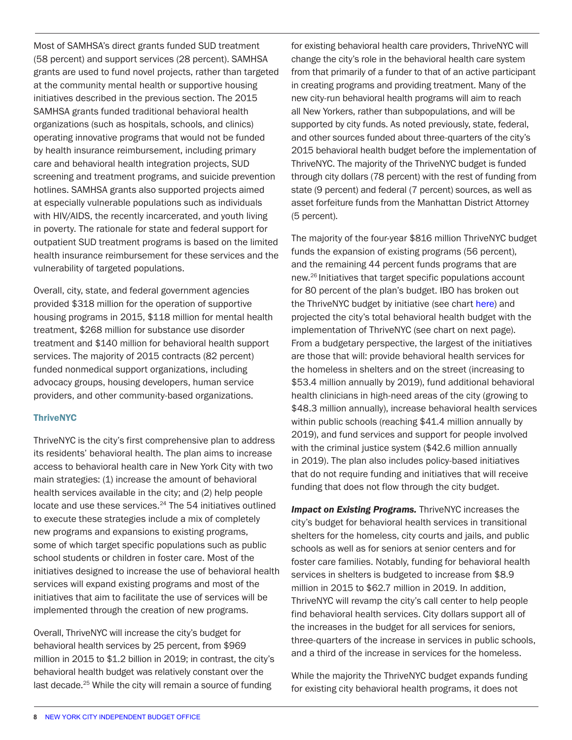Most of SAMHSA's direct grants funded SUD treatment (58 percent) and support services (28 percent). SAMHSA grants are used to fund novel projects, rather than targeted at the community mental health or supportive housing initiatives described in the previous section. The 2015 SAMHSA grants funded traditional behavioral health organizations (such as hospitals, schools, and clinics) operating innovative programs that would not be funded by health insurance reimbursement, including primary care and behavioral health integration projects, SUD screening and treatment programs, and suicide prevention hotlines. SAMHSA grants also supported projects aimed at especially vulnerable populations such as individuals with HIV/AIDS, the recently incarcerated, and youth living in poverty. The rationale for state and federal support for outpatient SUD treatment programs is based on the limited health insurance reimbursement for these services and the vulnerability of targeted populations.

Overall, city, state, and federal government agencies provided \$318 million for the operation of supportive housing programs in 2015, \$118 million for mental health treatment, \$268 million for substance use disorder treatment and \$140 million for behavioral health support services. The majority of 2015 contracts (82 percent) funded nonmedical support organizations, including advocacy groups, housing developers, human service providers, and other community-based organizations.

#### **ThriveNYC**

ThriveNYC is the city's first comprehensive plan to address its residents' behavioral health. The plan aims to increase access to behavioral health care in New York City with two main strategies: (1) increase the amount of behavioral health services available in the city; and (2) help people locate and use these services.<sup>24</sup> The 54 initiatives outlined to execute these strategies include a mix of completely new programs and expansions to existing programs, some of which target specific populations such as public school students or children in foster care. Most of the initiatives designed to increase the use of behavioral health services will expand existing programs and most of the initiatives that aim to facilitate the use of services will be implemented through the creation of new programs.

Overall, ThriveNYC will increase the city's budget for behavioral health services by 25 percent, from \$969 million in 2015 to \$1.2 billion in 2019; in contrast, the city's behavioral health budget was relatively constant over the last decade.<sup>25</sup> While the city will remain a source of funding

for existing behavioral health care providers, ThriveNYC will change the city's role in the behavioral health care system from that primarily of a funder to that of an active participant in creating programs and providing treatment. Many of the new city-run behavioral health programs will aim to reach all New Yorkers, rather than subpopulations, and will be supported by city funds. As noted previously, state, federal, and other sources funded about three-quarters of the city's 2015 behavioral health budget before the implementation of ThriveNYC. The majority of the ThriveNYC budget is funded through city dollars (78 percent) with the rest of funding from state (9 percent) and federal (7 percent) sources, as well as asset forfeiture funds from the Manhattan District Attorney (5 percent).

The majority of the four-year \$816 million ThriveNYC budget funds the expansion of existing programs (56 percent), and the remaining 44 percent funds programs that are new.26 Initiatives that target specific populations account for 80 percent of the plan's budget. IBO has broken out the ThriveNYC budget by initiative (see chart here) and projected the city's total behavioral health budget with the implementation of ThriveNYC (see chart on next page). From a budgetary perspective, the largest of the initiatives are those that will: provide behavioral health services for the homeless in shelters and on the street (increasing to \$53.4 million annually by 2019), fund additional behavioral health clinicians in high-need areas of the city (growing to \$48.3 million annually), increase behavioral health services within public schools (reaching \$41.4 million annually by 2019), and fund services and support for people involved with the criminal justice system (\$42.6 million annually in 2019). The plan also includes policy-based initiatives that do not require funding and initiatives that will receive funding that does not flow through the city budget.

*Impact on Existing Programs.* ThriveNYC increases the city's budget for behavioral health services in transitional shelters for the homeless, city courts and jails, and public schools as well as for seniors at senior centers and for foster care families. Notably, funding for behavioral health services in shelters is budgeted to increase from \$8.9 million in 2015 to \$62.7 million in 2019. In addition, ThriveNYC will revamp the city's call center to help people find behavioral health services. City dollars support all of the increases in the budget for all services for seniors, three-quarters of the increase in services in public schools, and a third of the increase in services for the homeless.

While the majority the ThriveNYC budget expands funding for existing city behavioral health programs, it does not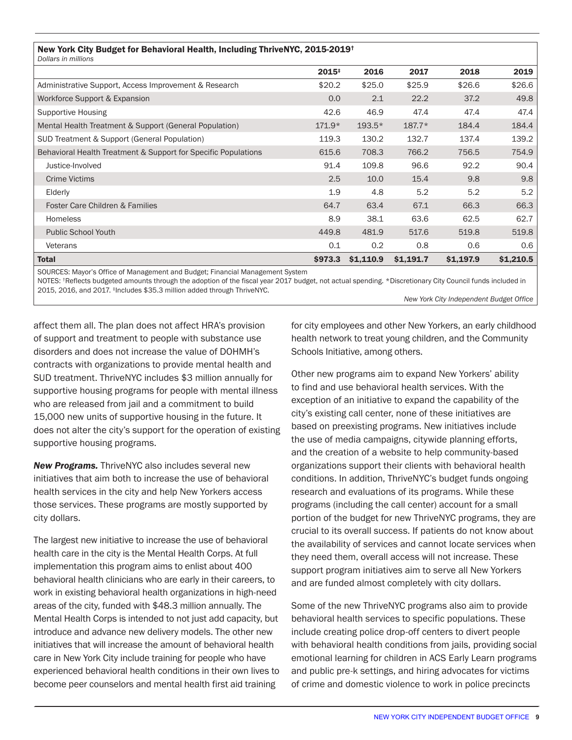| New York City Budget for Behavioral Health, Including ThriveNYC, 2015-2019 <sup>†</sup><br>Dollars in millions |          |           |           |           |           |  |  |  |  |
|----------------------------------------------------------------------------------------------------------------|----------|-----------|-----------|-----------|-----------|--|--|--|--|
|                                                                                                                | $2015+$  | 2016      | 2017      | 2018      | 2019      |  |  |  |  |
| Administrative Support, Access Improvement & Research                                                          | \$20.2   | \$25.0    | \$25.9    | \$26.6    | \$26.6    |  |  |  |  |
| Workforce Support & Expansion                                                                                  | 0.0      | 2.1       | 22.2      | 37.2      | 49.8      |  |  |  |  |
| Supportive Housing                                                                                             | 42.6     | 46.9      | 47.4      | 47.4      | 47.4      |  |  |  |  |
| Mental Health Treatment & Support (General Population)                                                         | $171.9*$ | $193.5*$  | $187.7*$  | 184.4     | 184.4     |  |  |  |  |
| SUD Treatment & Support (General Population)                                                                   | 119.3    | 130.2     | 132.7     | 137.4     | 139.2     |  |  |  |  |
| Behavioral Health Treatment & Support for Specific Populations                                                 | 615.6    | 708.3     | 766.2     | 756.5     | 754.9     |  |  |  |  |
| Justice-Involved                                                                                               | 91.4     | 109.8     | 96.6      | 92.2      | 90.4      |  |  |  |  |
| <b>Crime Victims</b>                                                                                           | 2.5      | 10.0      | 15.4      | 9.8       | 9.8       |  |  |  |  |
| Elderly                                                                                                        | 1.9      | 4.8       | 5.2       | 5.2       | 5.2       |  |  |  |  |
| Foster Care Children & Families                                                                                | 64.7     | 63.4      | 67.1      | 66.3      | 66.3      |  |  |  |  |
| <b>Homeless</b>                                                                                                | 8.9      | 38.1      | 63.6      | 62.5      | 62.7      |  |  |  |  |
| <b>Public School Youth</b>                                                                                     | 449.8    | 481.9     | 517.6     | 519.8     | 519.8     |  |  |  |  |
| Veterans                                                                                                       | 0.1      | 0.2       | 0.8       | 0.6       | 0.6       |  |  |  |  |
| <b>Total</b>                                                                                                   | \$973.3  | \$1,110.9 | \$1,191.7 | \$1,197.9 | \$1,210.5 |  |  |  |  |

SOURCES: Mayor's Office of Management and Budget; Financial Management System

NOTES: <sup>†</sup>Reflects budgeted amounts through the adoption of the fiscal year 2017 budget, not actual spending. \*Discretionary City Council funds included in 2015, 2016, and 2017. ‡Includes \$35.3 million added through ThriveNYC.

*New York City Independent Budget Office*

affect them all. The plan does not affect HRA's provision of support and treatment to people with substance use disorders and does not increase the value of DOHMH's contracts with organizations to provide mental health and SUD treatment. ThriveNYC includes \$3 million annually for supportive housing programs for people with mental illness who are released from jail and a commitment to build 15,000 new units of supportive housing in the future. It does not alter the city's support for the operation of existing supportive housing programs.

*New Programs.* ThriveNYC also includes several new initiatives that aim both to increase the use of behavioral health services in the city and help New Yorkers access those services. These programs are mostly supported by city dollars.

The largest new initiative to increase the use of behavioral health care in the city is the Mental Health Corps. At full implementation this program aims to enlist about 400 behavioral health clinicians who are early in their careers, to work in existing behavioral health organizations in high-need areas of the city, funded with \$48.3 million annually. The Mental Health Corps is intended to not just add capacity, but introduce and advance new delivery models. The other new initiatives that will increase the amount of behavioral health care in New York City include training for people who have experienced behavioral health conditions in their own lives to become peer counselors and mental health first aid training

for city employees and other New Yorkers, an early childhood health network to treat young children, and the Community Schools Initiative, among others.

Other new programs aim to expand New Yorkers' ability to find and use behavioral health services. With the exception of an initiative to expand the capability of the city's existing call center, none of these initiatives are based on preexisting programs. New initiatives include the use of media campaigns, citywide planning efforts, and the creation of a website to help community-based organizations support their clients with behavioral health conditions. In addition, ThriveNYC's budget funds ongoing research and evaluations of its programs. While these programs (including the call center) account for a small portion of the budget for new ThriveNYC programs, they are crucial to its overall success. If patients do not know about the availability of services and cannot locate services when they need them, overall access will not increase. These support program initiatives aim to serve all New Yorkers and are funded almost completely with city dollars.

Some of the new ThriveNYC programs also aim to provide behavioral health services to specific populations. These include creating police drop-off centers to divert people with behavioral health conditions from jails, providing social emotional learning for children in ACS Early Learn programs and public pre-k settings, and hiring advocates for victims of crime and domestic violence to work in police precincts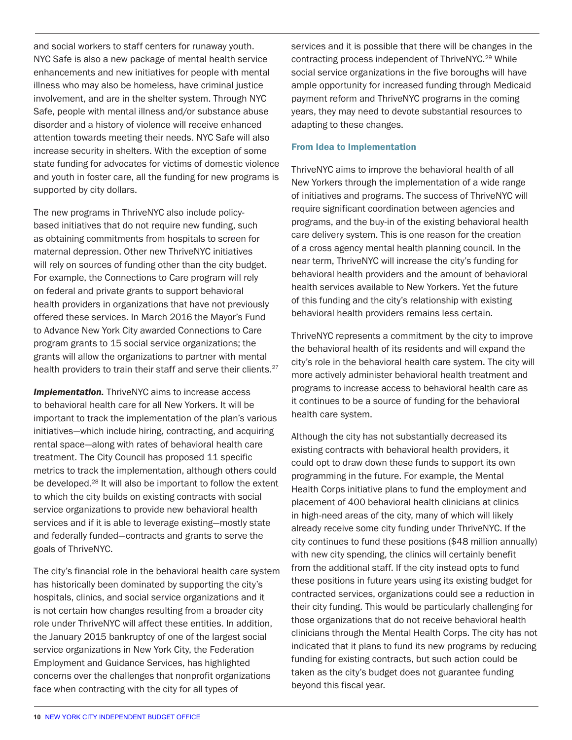and social workers to staff centers for runaway youth. NYC Safe is also a new package of mental health service enhancements and new initiatives for people with mental illness who may also be homeless, have criminal justice involvement, and are in the shelter system. Through NYC Safe, people with mental illness and/or substance abuse disorder and a history of violence will receive enhanced attention towards meeting their needs. NYC Safe will also increase security in shelters. With the exception of some state funding for advocates for victims of domestic violence and youth in foster care, all the funding for new programs is supported by city dollars.

The new programs in ThriveNYC also include policybased initiatives that do not require new funding, such as obtaining commitments from hospitals to screen for maternal depression. Other new ThriveNYC initiatives will rely on sources of funding other than the city budget. For example, the Connections to Care program will rely on federal and private grants to support behavioral health providers in organizations that have not previously offered these services. In March 2016 the Mayor's Fund to Advance New York City awarded Connections to Care program grants to 15 social service organizations; the grants will allow the organizations to partner with mental health providers to train their staff and serve their clients.<sup>27</sup>

**Implementation.** ThriveNYC aims to increase access to behavioral health care for all New Yorkers. It will be important to track the implementation of the plan's various initiatives—which include hiring, contracting, and acquiring rental space—along with rates of behavioral health care treatment. The City Council has proposed 11 specific metrics to track the implementation, although others could be developed.<sup>28</sup> It will also be important to follow the extent to which the city builds on existing contracts with social service organizations to provide new behavioral health services and if it is able to leverage existing—mostly state and federally funded—contracts and grants to serve the goals of ThriveNYC.

The city's financial role in the behavioral health care system has historically been dominated by supporting the city's hospitals, clinics, and social service organizations and it is not certain how changes resulting from a broader city role under ThriveNYC will affect these entities. In addition, the January 2015 bankruptcy of one of the largest social service organizations in New York City, the Federation Employment and Guidance Services, has highlighted concerns over the challenges that nonprofit organizations face when contracting with the city for all types of

services and it is possible that there will be changes in the contracting process independent of ThriveNYC.<sup>29</sup> While social service organizations in the five boroughs will have ample opportunity for increased funding through Medicaid payment reform and ThriveNYC programs in the coming years, they may need to devote substantial resources to adapting to these changes.

#### From Idea to Implementation

ThriveNYC aims to improve the behavioral health of all New Yorkers through the implementation of a wide range of initiatives and programs. The success of ThriveNYC will require significant coordination between agencies and programs, and the buy-in of the existing behavioral health care delivery system. This is one reason for the creation of a cross agency mental health planning council. In the near term, ThriveNYC will increase the city's funding for behavioral health providers and the amount of behavioral health services available to New Yorkers. Yet the future of this funding and the city's relationship with existing behavioral health providers remains less certain.

ThriveNYC represents a commitment by the city to improve the behavioral health of its residents and will expand the city's role in the behavioral health care system. The city will more actively administer behavioral health treatment and programs to increase access to behavioral health care as it continues to be a source of funding for the behavioral health care system.

Although the city has not substantially decreased its existing contracts with behavioral health providers, it could opt to draw down these funds to support its own programming in the future. For example, the Mental Health Corps initiative plans to fund the employment and placement of 400 behavioral health clinicians at clinics in high-need areas of the city, many of which will likely already receive some city funding under ThriveNYC. If the city continues to fund these positions (\$48 million annually) with new city spending, the clinics will certainly benefit from the additional staff. If the city instead opts to fund these positions in future years using its existing budget for contracted services, organizations could see a reduction in their city funding. This would be particularly challenging for those organizations that do not receive behavioral health clinicians through the Mental Health Corps. The city has not indicated that it plans to fund its new programs by reducing funding for existing contracts, but such action could be taken as the city's budget does not guarantee funding beyond this fiscal year.